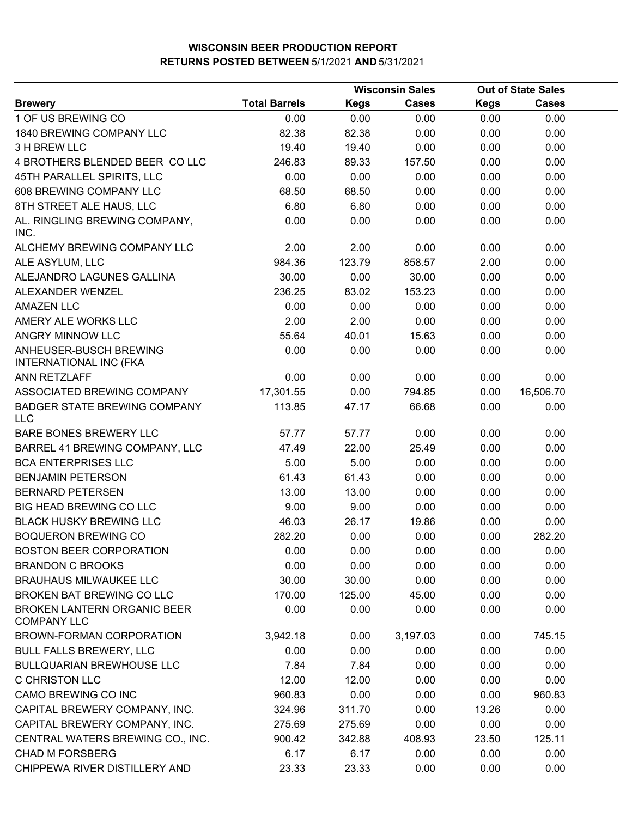|                                                          |                      |             | <b>Wisconsin Sales</b> | <b>Out of State Sales</b> |              |  |
|----------------------------------------------------------|----------------------|-------------|------------------------|---------------------------|--------------|--|
| <b>Brewery</b>                                           | <b>Total Barrels</b> | <b>Kegs</b> | <b>Cases</b>           | <b>Kegs</b>               | <b>Cases</b> |  |
| 1 OF US BREWING CO                                       | 0.00                 | 0.00        | 0.00                   | 0.00                      | 0.00         |  |
| 1840 BREWING COMPANY LLC                                 | 82.38                | 82.38       | 0.00                   | 0.00                      | 0.00         |  |
| 3 H BREW LLC                                             | 19.40                | 19.40       | 0.00                   | 0.00                      | 0.00         |  |
| 4 BROTHERS BLENDED BEER CO LLC                           | 246.83               | 89.33       | 157.50                 | 0.00                      | 0.00         |  |
| 45TH PARALLEL SPIRITS, LLC                               | 0.00                 | 0.00        | 0.00                   | 0.00                      | 0.00         |  |
| 608 BREWING COMPANY LLC                                  | 68.50                | 68.50       | 0.00                   | 0.00                      | 0.00         |  |
| 8TH STREET ALE HAUS, LLC                                 | 6.80                 | 6.80        | 0.00                   | 0.00                      | 0.00         |  |
| AL. RINGLING BREWING COMPANY,<br>INC.                    | 0.00                 | 0.00        | 0.00                   | 0.00                      | 0.00         |  |
| ALCHEMY BREWING COMPANY LLC                              | 2.00                 | 2.00        | 0.00                   | 0.00                      | 0.00         |  |
| ALE ASYLUM, LLC                                          | 984.36               | 123.79      | 858.57                 | 2.00                      | 0.00         |  |
| ALEJANDRO LAGUNES GALLINA                                | 30.00                | 0.00        | 30.00                  | 0.00                      | 0.00         |  |
| ALEXANDER WENZEL                                         | 236.25               | 83.02       | 153.23                 | 0.00                      | 0.00         |  |
| <b>AMAZEN LLC</b>                                        | 0.00                 | 0.00        | 0.00                   | 0.00                      | 0.00         |  |
| AMERY ALE WORKS LLC                                      | 2.00                 | 2.00        | 0.00                   | 0.00                      | 0.00         |  |
| ANGRY MINNOW LLC                                         | 55.64                | 40.01       | 15.63                  | 0.00                      | 0.00         |  |
| ANHEUSER-BUSCH BREWING<br><b>INTERNATIONAL INC (FKA</b>  | 0.00                 | 0.00        | 0.00                   | 0.00                      | 0.00         |  |
| <b>ANN RETZLAFF</b>                                      | 0.00                 | 0.00        | 0.00                   | 0.00                      | 0.00         |  |
| ASSOCIATED BREWING COMPANY                               | 17,301.55            | 0.00        | 794.85                 | 0.00                      | 16,506.70    |  |
| <b>BADGER STATE BREWING COMPANY</b><br><b>LLC</b>        | 113.85               | 47.17       | 66.68                  | 0.00                      | 0.00         |  |
| BARE BONES BREWERY LLC                                   | 57.77                | 57.77       | 0.00                   | 0.00                      | 0.00         |  |
| BARREL 41 BREWING COMPANY, LLC                           | 47.49                | 22.00       | 25.49                  | 0.00                      | 0.00         |  |
| <b>BCA ENTERPRISES LLC</b>                               | 5.00                 | 5.00        | 0.00                   | 0.00                      | 0.00         |  |
| <b>BENJAMIN PETERSON</b>                                 | 61.43                | 61.43       | 0.00                   | 0.00                      | 0.00         |  |
| <b>BERNARD PETERSEN</b>                                  | 13.00                | 13.00       | 0.00                   | 0.00                      | 0.00         |  |
| BIG HEAD BREWING CO LLC                                  | 9.00                 | 9.00        | 0.00                   | 0.00                      | 0.00         |  |
| <b>BLACK HUSKY BREWING LLC</b>                           | 46.03                | 26.17       | 19.86                  | 0.00                      | 0.00         |  |
| <b>BOQUERON BREWING CO</b>                               | 282.20               | 0.00        | 0.00                   | 0.00                      | 282.20       |  |
| BOSTON BEER CORPORATION                                  | 0.00                 | 0.00        | 0.00                   | 0.00                      | 0.00         |  |
| <b>BRANDON C BROOKS</b>                                  | 0.00                 | 0.00        | 0.00                   | 0.00                      | 0.00         |  |
| <b>BRAUHAUS MILWAUKEE LLC</b>                            | 30.00                | 30.00       | 0.00                   | 0.00                      | 0.00         |  |
| <b>BROKEN BAT BREWING CO LLC</b>                         | 170.00               | 125.00      | 45.00                  | 0.00                      | 0.00         |  |
| <b>BROKEN LANTERN ORGANIC BEER</b><br><b>COMPANY LLC</b> | 0.00                 | 0.00        | 0.00                   | 0.00                      | 0.00         |  |
| BROWN-FORMAN CORPORATION                                 | 3,942.18             | 0.00        | 3,197.03               | 0.00                      | 745.15       |  |
| <b>BULL FALLS BREWERY, LLC</b>                           | 0.00                 | 0.00        | 0.00                   | 0.00                      | 0.00         |  |
| <b>BULLQUARIAN BREWHOUSE LLC</b>                         | 7.84                 | 7.84        | 0.00                   | 0.00                      | 0.00         |  |
| <b>C CHRISTON LLC</b>                                    | 12.00                | 12.00       | 0.00                   | 0.00                      | 0.00         |  |
| CAMO BREWING CO INC                                      | 960.83               | 0.00        | 0.00                   | 0.00                      | 960.83       |  |
| CAPITAL BREWERY COMPANY, INC.                            | 324.96               | 311.70      | 0.00                   | 13.26                     | 0.00         |  |
| CAPITAL BREWERY COMPANY, INC.                            | 275.69               | 275.69      | 0.00                   | 0.00                      | 0.00         |  |
| CENTRAL WATERS BREWING CO., INC.                         | 900.42               | 342.88      | 408.93                 | 23.50                     | 125.11       |  |
| <b>CHAD M FORSBERG</b>                                   | 6.17                 | 6.17        | 0.00                   | 0.00                      | 0.00         |  |
| CHIPPEWA RIVER DISTILLERY AND                            | 23.33                | 23.33       | 0.00                   | 0.00                      | 0.00         |  |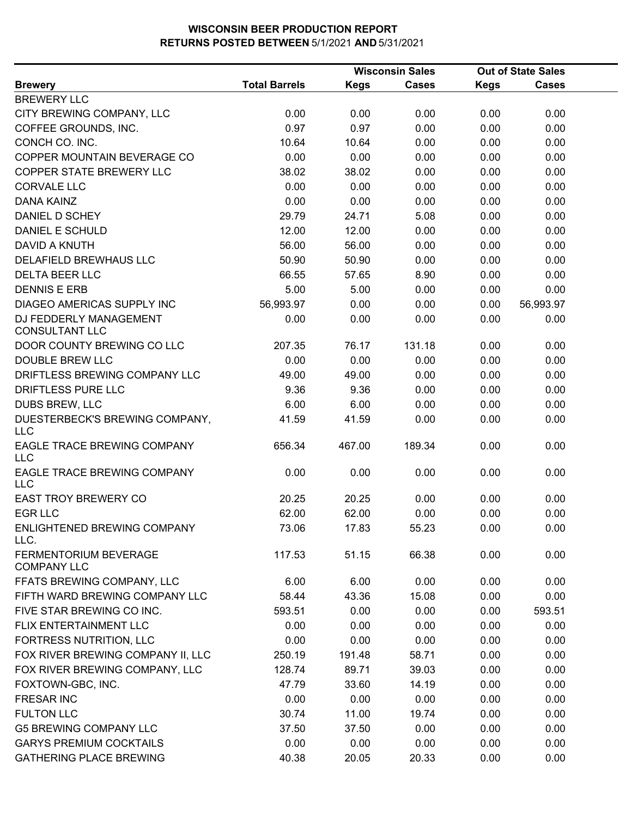|                                                 |                      |             | <b>Wisconsin Sales</b> | <b>Out of State Sales</b> |              |  |
|-------------------------------------------------|----------------------|-------------|------------------------|---------------------------|--------------|--|
| <b>Brewery</b>                                  | <b>Total Barrels</b> | <b>Kegs</b> | <b>Cases</b>           | <b>Kegs</b>               | <b>Cases</b> |  |
| <b>BREWERY LLC</b>                              |                      |             |                        |                           |              |  |
| CITY BREWING COMPANY, LLC                       | 0.00                 | 0.00        | 0.00                   | 0.00                      | 0.00         |  |
| COFFEE GROUNDS, INC.                            | 0.97                 | 0.97        | 0.00                   | 0.00                      | 0.00         |  |
| CONCH CO. INC.                                  | 10.64                | 10.64       | 0.00                   | 0.00                      | 0.00         |  |
| COPPER MOUNTAIN BEVERAGE CO                     | 0.00                 | 0.00        | 0.00                   | 0.00                      | 0.00         |  |
| <b>COPPER STATE BREWERY LLC</b>                 | 38.02                | 38.02       | 0.00                   | 0.00                      | 0.00         |  |
| <b>CORVALE LLC</b>                              | 0.00                 | 0.00        | 0.00                   | 0.00                      | 0.00         |  |
| <b>DANA KAINZ</b>                               | 0.00                 | 0.00        | 0.00                   | 0.00                      | 0.00         |  |
| DANIEL D SCHEY                                  | 29.79                | 24.71       | 5.08                   | 0.00                      | 0.00         |  |
| <b>DANIEL E SCHULD</b>                          | 12.00                | 12.00       | 0.00                   | 0.00                      | 0.00         |  |
| <b>DAVID A KNUTH</b>                            | 56.00                | 56.00       | 0.00                   | 0.00                      | 0.00         |  |
| DELAFIELD BREWHAUS LLC                          | 50.90                | 50.90       | 0.00                   | 0.00                      | 0.00         |  |
| <b>DELTA BEER LLC</b>                           | 66.55                | 57.65       | 8.90                   | 0.00                      | 0.00         |  |
| <b>DENNIS E ERB</b>                             | 5.00                 | 5.00        | 0.00                   | 0.00                      | 0.00         |  |
| DIAGEO AMERICAS SUPPLY INC                      | 56,993.97            | 0.00        | 0.00                   | 0.00                      | 56,993.97    |  |
| DJ FEDDERLY MANAGEMENT<br><b>CONSULTANT LLC</b> | 0.00                 | 0.00        | 0.00                   | 0.00                      | 0.00         |  |
| DOOR COUNTY BREWING CO LLC                      | 207.35               | 76.17       | 131.18                 | 0.00                      | 0.00         |  |
| <b>DOUBLE BREW LLC</b>                          | 0.00                 | 0.00        | 0.00                   | 0.00                      | 0.00         |  |
| DRIFTLESS BREWING COMPANY LLC                   | 49.00                | 49.00       | 0.00                   | 0.00                      | 0.00         |  |
| DRIFTLESS PURE LLC                              | 9.36                 | 9.36        | 0.00                   | 0.00                      | 0.00         |  |
| DUBS BREW, LLC                                  | 6.00                 | 6.00        | 0.00                   | 0.00                      | 0.00         |  |
| DUESTERBECK'S BREWING COMPANY,<br><b>LLC</b>    | 41.59                | 41.59       | 0.00                   | 0.00                      | 0.00         |  |
| EAGLE TRACE BREWING COMPANY<br><b>LLC</b>       | 656.34               | 467.00      | 189.34                 | 0.00                      | 0.00         |  |
| EAGLE TRACE BREWING COMPANY<br><b>LLC</b>       | 0.00                 | 0.00        | 0.00                   | 0.00                      | 0.00         |  |
| <b>EAST TROY BREWERY CO</b>                     | 20.25                | 20.25       | 0.00                   | 0.00                      | 0.00         |  |
| <b>EGR LLC</b>                                  | 62.00                | 62.00       | 0.00                   | 0.00                      | 0.00         |  |
| ENLIGHTENED BREWING COMPANY<br>LLC.             | 73.06                | 17.83       | 55.23                  | 0.00                      | 0.00         |  |
| FERMENTORIUM BEVERAGE<br><b>COMPANY LLC</b>     | 117.53               | 51.15       | 66.38                  | 0.00                      | 0.00         |  |
| FFATS BREWING COMPANY, LLC                      | 6.00                 | 6.00        | 0.00                   | 0.00                      | 0.00         |  |
| FIFTH WARD BREWING COMPANY LLC                  | 58.44                | 43.36       | 15.08                  | 0.00                      | 0.00         |  |
| FIVE STAR BREWING CO INC.                       | 593.51               | 0.00        | 0.00                   | 0.00                      | 593.51       |  |
| FLIX ENTERTAINMENT LLC                          | 0.00                 | 0.00        | 0.00                   | 0.00                      | 0.00         |  |
| FORTRESS NUTRITION, LLC                         | 0.00                 | 0.00        | 0.00                   | 0.00                      | 0.00         |  |
| FOX RIVER BREWING COMPANY II, LLC               | 250.19               | 191.48      | 58.71                  | 0.00                      | 0.00         |  |
| FOX RIVER BREWING COMPANY, LLC                  | 128.74               | 89.71       | 39.03                  | 0.00                      | 0.00         |  |
| FOXTOWN-GBC, INC.                               | 47.79                | 33.60       | 14.19                  | 0.00                      | 0.00         |  |
| <b>FRESAR INC</b>                               | 0.00                 | 0.00        | 0.00                   | 0.00                      | 0.00         |  |
| <b>FULTON LLC</b>                               | 30.74                | 11.00       | 19.74                  | 0.00                      | 0.00         |  |
| <b>G5 BREWING COMPANY LLC</b>                   | 37.50                | 37.50       | 0.00                   | 0.00                      | 0.00         |  |
| <b>GARYS PREMIUM COCKTAILS</b>                  | 0.00                 | 0.00        | 0.00                   | 0.00                      | 0.00         |  |
| <b>GATHERING PLACE BREWING</b>                  | 40.38                | 20.05       | 20.33                  | 0.00                      | 0.00         |  |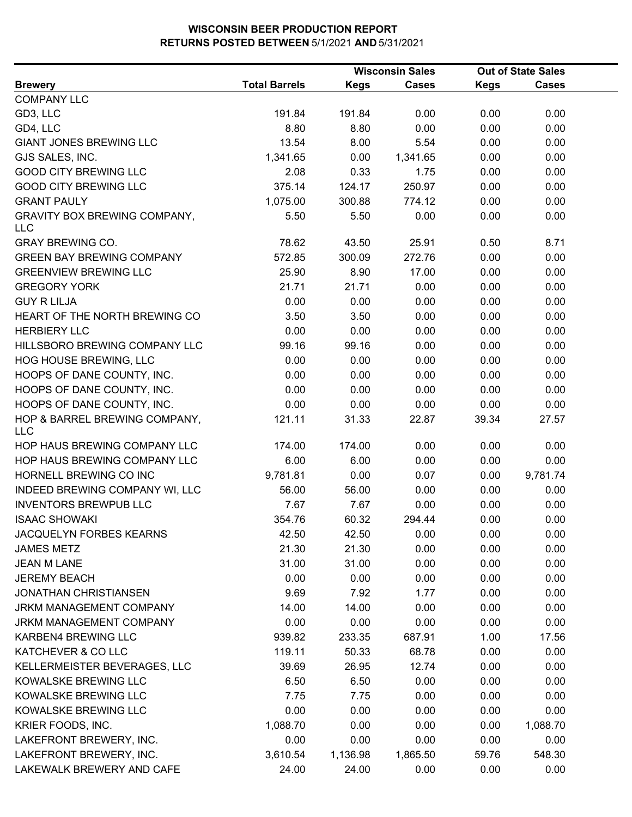|                                                   |                      |             | <b>Wisconsin Sales</b> |             | <b>Out of State Sales</b> |  |
|---------------------------------------------------|----------------------|-------------|------------------------|-------------|---------------------------|--|
| <b>Brewery</b>                                    | <b>Total Barrels</b> | <b>Kegs</b> | <b>Cases</b>           | <b>Kegs</b> | <b>Cases</b>              |  |
| <b>COMPANY LLC</b>                                |                      |             |                        |             |                           |  |
| GD3, LLC                                          | 191.84               | 191.84      | 0.00                   | 0.00        | 0.00                      |  |
| GD4, LLC                                          | 8.80                 | 8.80        | 0.00                   | 0.00        | 0.00                      |  |
| <b>GIANT JONES BREWING LLC</b>                    | 13.54                | 8.00        | 5.54                   | 0.00        | 0.00                      |  |
| GJS SALES, INC.                                   | 1,341.65             | 0.00        | 1,341.65               | 0.00        | 0.00                      |  |
| <b>GOOD CITY BREWING LLC</b>                      | 2.08                 | 0.33        | 1.75                   | 0.00        | 0.00                      |  |
| <b>GOOD CITY BREWING LLC</b>                      | 375.14               | 124.17      | 250.97                 | 0.00        | 0.00                      |  |
| <b>GRANT PAULY</b>                                | 1,075.00             | 300.88      | 774.12                 | 0.00        | 0.00                      |  |
| <b>GRAVITY BOX BREWING COMPANY,</b><br><b>LLC</b> | 5.50                 | 5.50        | 0.00                   | 0.00        | 0.00                      |  |
| <b>GRAY BREWING CO.</b>                           | 78.62                | 43.50       | 25.91                  | 0.50        | 8.71                      |  |
| <b>GREEN BAY BREWING COMPANY</b>                  | 572.85               | 300.09      | 272.76                 | 0.00        | 0.00                      |  |
| <b>GREENVIEW BREWING LLC</b>                      | 25.90                | 8.90        | 17.00                  | 0.00        | 0.00                      |  |
| <b>GREGORY YORK</b>                               | 21.71                | 21.71       | 0.00                   | 0.00        | 0.00                      |  |
| <b>GUY R LILJA</b>                                | 0.00                 | 0.00        | 0.00                   | 0.00        | 0.00                      |  |
| HEART OF THE NORTH BREWING CO                     | 3.50                 | 3.50        | 0.00                   | 0.00        | 0.00                      |  |
| <b>HERBIERY LLC</b>                               | 0.00                 | 0.00        | 0.00                   | 0.00        | 0.00                      |  |
| HILLSBORO BREWING COMPANY LLC                     | 99.16                | 99.16       | 0.00                   | 0.00        | 0.00                      |  |
| HOG HOUSE BREWING, LLC                            | 0.00                 | 0.00        | 0.00                   | 0.00        | 0.00                      |  |
| HOOPS OF DANE COUNTY, INC.                        | 0.00                 | 0.00        | 0.00                   | 0.00        | 0.00                      |  |
| HOOPS OF DANE COUNTY, INC.                        | 0.00                 | 0.00        | 0.00                   | 0.00        | 0.00                      |  |
| HOOPS OF DANE COUNTY, INC.                        | 0.00                 | 0.00        | 0.00                   | 0.00        | 0.00                      |  |
| HOP & BARREL BREWING COMPANY,<br><b>LLC</b>       | 121.11               | 31.33       | 22.87                  | 39.34       | 27.57                     |  |
| HOP HAUS BREWING COMPANY LLC                      | 174.00               | 174.00      | 0.00                   | 0.00        | 0.00                      |  |
| HOP HAUS BREWING COMPANY LLC                      | 6.00                 | 6.00        | 0.00                   | 0.00        | 0.00                      |  |
| HORNELL BREWING CO INC                            | 9,781.81             | 0.00        | 0.07                   | 0.00        | 9,781.74                  |  |
| INDEED BREWING COMPANY WI, LLC                    | 56.00                | 56.00       | 0.00                   | 0.00        | 0.00                      |  |
| <b>INVENTORS BREWPUB LLC</b>                      | 7.67                 | 7.67        | 0.00                   | 0.00        | 0.00                      |  |
| <b>ISAAC SHOWAKI</b>                              | 354.76               | 60.32       | 294.44                 | 0.00        | 0.00                      |  |
| JACQUELYN FORBES KEARNS                           | 42.50                | 42.50       | 0.00                   | 0.00        | 0.00                      |  |
| <b>JAMES METZ</b>                                 | 21.30                | 21.30       | 0.00                   | 0.00        | 0.00                      |  |
| <b>JEAN M LANE</b>                                | 31.00                | 31.00       | 0.00                   | 0.00        | 0.00                      |  |
| <b>JEREMY BEACH</b>                               | 0.00                 | 0.00        | 0.00                   | 0.00        | 0.00                      |  |
| <b>JONATHAN CHRISTIANSEN</b>                      | 9.69                 | 7.92        | 1.77                   | 0.00        | 0.00                      |  |
| JRKM MANAGEMENT COMPANY                           | 14.00                | 14.00       | 0.00                   | 0.00        | 0.00                      |  |
| <b>JRKM MANAGEMENT COMPANY</b>                    | 0.00                 | 0.00        | 0.00                   | 0.00        | 0.00                      |  |
| KARBEN4 BREWING LLC                               | 939.82               | 233.35      | 687.91                 | 1.00        | 17.56                     |  |
| KATCHEVER & CO LLC                                | 119.11               | 50.33       | 68.78                  | 0.00        | 0.00                      |  |
| KELLERMEISTER BEVERAGES, LLC                      | 39.69                | 26.95       | 12.74                  | 0.00        | 0.00                      |  |
| KOWALSKE BREWING LLC                              | 6.50                 | 6.50        | 0.00                   | 0.00        | 0.00                      |  |
| KOWALSKE BREWING LLC                              | 7.75                 | 7.75        | 0.00                   | 0.00        | 0.00                      |  |
| KOWALSKE BREWING LLC                              | 0.00                 | 0.00        | 0.00                   | 0.00        | 0.00                      |  |
| KRIER FOODS, INC.                                 | 1,088.70             | 0.00        | 0.00                   | 0.00        | 1,088.70                  |  |
| LAKEFRONT BREWERY, INC.                           | 0.00                 | 0.00        | 0.00                   | 0.00        | 0.00                      |  |
| LAKEFRONT BREWERY, INC.                           | 3,610.54             | 1,136.98    | 1,865.50               | 59.76       | 548.30                    |  |
| LAKEWALK BREWERY AND CAFE                         | 24.00                | 24.00       | 0.00                   | 0.00        | 0.00                      |  |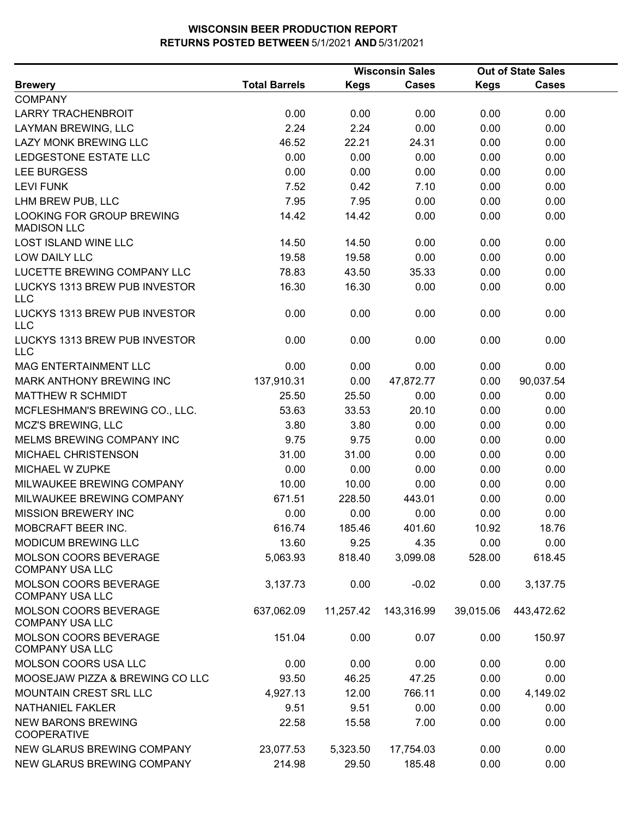|                                                        |                      |             | <b>Wisconsin Sales</b> |             | <b>Out of State Sales</b> |  |
|--------------------------------------------------------|----------------------|-------------|------------------------|-------------|---------------------------|--|
| <b>Brewery</b>                                         | <b>Total Barrels</b> | <b>Kegs</b> | <b>Cases</b>           | <b>Kegs</b> | <b>Cases</b>              |  |
| <b>COMPANY</b>                                         |                      |             |                        |             |                           |  |
| <b>LARRY TRACHENBROIT</b>                              | 0.00                 | 0.00        | 0.00                   | 0.00        | 0.00                      |  |
| LAYMAN BREWING, LLC                                    | 2.24                 | 2.24        | 0.00                   | 0.00        | 0.00                      |  |
| <b>LAZY MONK BREWING LLC</b>                           | 46.52                | 22.21       | 24.31                  | 0.00        | 0.00                      |  |
| LEDGESTONE ESTATE LLC                                  | 0.00                 | 0.00        | 0.00                   | 0.00        | 0.00                      |  |
| <b>LEE BURGESS</b>                                     | 0.00                 | 0.00        | 0.00                   | 0.00        | 0.00                      |  |
| <b>LEVI FUNK</b>                                       | 7.52                 | 0.42        | 7.10                   | 0.00        | 0.00                      |  |
| LHM BREW PUB, LLC                                      | 7.95                 | 7.95        | 0.00                   | 0.00        | 0.00                      |  |
| LOOKING FOR GROUP BREWING<br><b>MADISON LLC</b>        | 14.42                | 14.42       | 0.00                   | 0.00        | 0.00                      |  |
| <b>LOST ISLAND WINE LLC</b>                            | 14.50                | 14.50       | 0.00                   | 0.00        | 0.00                      |  |
| LOW DAILY LLC                                          | 19.58                | 19.58       | 0.00                   | 0.00        | 0.00                      |  |
| LUCETTE BREWING COMPANY LLC                            | 78.83                | 43.50       | 35.33                  | 0.00        | 0.00                      |  |
| LUCKYS 1313 BREW PUB INVESTOR<br><b>LLC</b>            | 16.30                | 16.30       | 0.00                   | 0.00        | 0.00                      |  |
| LUCKYS 1313 BREW PUB INVESTOR<br><b>LLC</b>            | 0.00                 | 0.00        | 0.00                   | 0.00        | 0.00                      |  |
| LUCKYS 1313 BREW PUB INVESTOR<br><b>LLC</b>            | 0.00                 | 0.00        | 0.00                   | 0.00        | 0.00                      |  |
| <b>MAG ENTERTAINMENT LLC</b>                           | 0.00                 | 0.00        | 0.00                   | 0.00        | 0.00                      |  |
| MARK ANTHONY BREWING INC                               | 137,910.31           | 0.00        | 47,872.77              | 0.00        | 90,037.54                 |  |
| <b>MATTHEW R SCHMIDT</b>                               | 25.50                | 25.50       | 0.00                   | 0.00        | 0.00                      |  |
| MCFLESHMAN'S BREWING CO., LLC.                         | 53.63                | 33.53       | 20.10                  | 0.00        | 0.00                      |  |
| <b>MCZ'S BREWING, LLC</b>                              | 3.80                 | 3.80        | 0.00                   | 0.00        | 0.00                      |  |
| MELMS BREWING COMPANY INC                              | 9.75                 | 9.75        | 0.00                   | 0.00        | 0.00                      |  |
| MICHAEL CHRISTENSON                                    | 31.00                | 31.00       | 0.00                   | 0.00        | 0.00                      |  |
| MICHAEL W ZUPKE                                        | 0.00                 | 0.00        | 0.00                   | 0.00        | 0.00                      |  |
| MILWAUKEE BREWING COMPANY                              | 10.00                | 10.00       | 0.00                   | 0.00        | 0.00                      |  |
| MILWAUKEE BREWING COMPANY                              | 671.51               | 228.50      | 443.01                 | 0.00        | 0.00                      |  |
| <b>MISSION BREWERY INC</b>                             | 0.00                 | 0.00        | 0.00                   | 0.00        | 0.00                      |  |
| MOBCRAFT BEER INC.                                     | 616.74               | 185.46      | 401.60                 | 10.92       | 18.76                     |  |
| <b>MODICUM BREWING LLC</b>                             | 13.60                | 9.25        | 4.35                   | 0.00        | 0.00                      |  |
| MOLSON COORS BEVERAGE<br><b>COMPANY USA LLC</b>        | 5,063.93             | 818.40      | 3,099.08               | 528.00      | 618.45                    |  |
| MOLSON COORS BEVERAGE<br><b>COMPANY USA LLC</b>        | 3,137.73             | 0.00        | $-0.02$                | 0.00        | 3,137.75                  |  |
| <b>MOLSON COORS BEVERAGE</b><br><b>COMPANY USA LLC</b> | 637,062.09           | 11,257.42   | 143,316.99             | 39,015.06   | 443,472.62                |  |
| <b>MOLSON COORS BEVERAGE</b><br><b>COMPANY USA LLC</b> | 151.04               | 0.00        | 0.07                   | 0.00        | 150.97                    |  |
| MOLSON COORS USA LLC                                   | 0.00                 | 0.00        | 0.00                   | 0.00        | 0.00                      |  |
| MOOSEJAW PIZZA & BREWING CO LLC                        | 93.50                | 46.25       | 47.25                  | 0.00        | 0.00                      |  |
| MOUNTAIN CREST SRL LLC                                 | 4,927.13             | 12.00       | 766.11                 | 0.00        | 4,149.02                  |  |
| <b>NATHANIEL FAKLER</b>                                | 9.51                 | 9.51        | 0.00                   | 0.00        | 0.00                      |  |
| <b>NEW BARONS BREWING</b><br><b>COOPERATIVE</b>        | 22.58                | 15.58       | 7.00                   | 0.00        | 0.00                      |  |
| NEW GLARUS BREWING COMPANY                             | 23,077.53            | 5,323.50    | 17,754.03              | 0.00        | 0.00                      |  |
| NEW GLARUS BREWING COMPANY                             | 214.98               | 29.50       | 185.48                 | 0.00        | 0.00                      |  |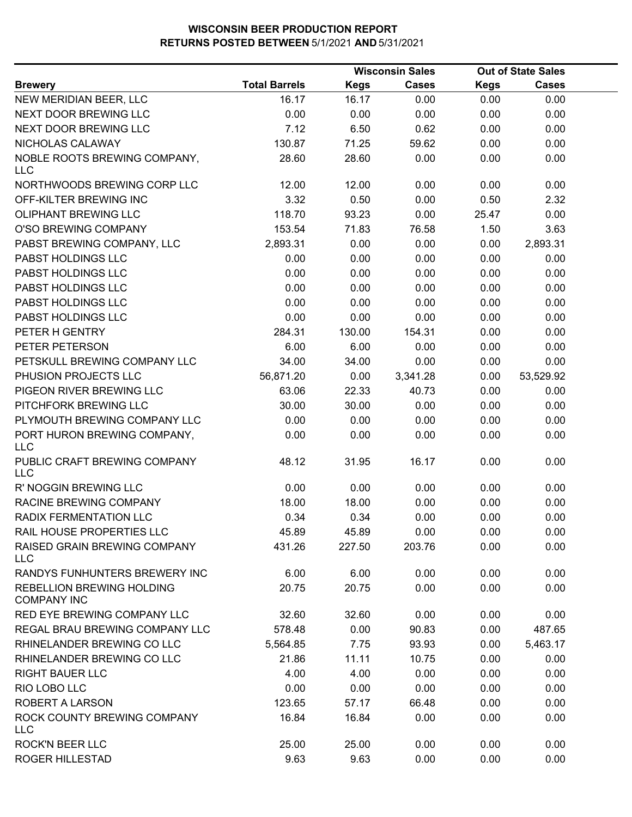|                                                        |                      | <b>Wisconsin Sales</b> |              |             | <b>Out of State Sales</b> |  |
|--------------------------------------------------------|----------------------|------------------------|--------------|-------------|---------------------------|--|
| <b>Brewery</b>                                         | <b>Total Barrels</b> | <b>Kegs</b>            | <b>Cases</b> | <b>Kegs</b> | <b>Cases</b>              |  |
| NEW MERIDIAN BEER, LLC                                 | 16.17                | 16.17                  | 0.00         | 0.00        | 0.00                      |  |
| NEXT DOOR BREWING LLC                                  | 0.00                 | 0.00                   | 0.00         | 0.00        | 0.00                      |  |
| <b>NEXT DOOR BREWING LLC</b>                           | 7.12                 | 6.50                   | 0.62         | 0.00        | 0.00                      |  |
| NICHOLAS CALAWAY                                       | 130.87               | 71.25                  | 59.62        | 0.00        | 0.00                      |  |
| NOBLE ROOTS BREWING COMPANY,<br><b>LLC</b>             | 28.60                | 28.60                  | 0.00         | 0.00        | 0.00                      |  |
| NORTHWOODS BREWING CORP LLC                            | 12.00                | 12.00                  | 0.00         | 0.00        | 0.00                      |  |
| OFF-KILTER BREWING INC                                 | 3.32                 | 0.50                   | 0.00         | 0.50        | 2.32                      |  |
| <b>OLIPHANT BREWING LLC</b>                            | 118.70               | 93.23                  | 0.00         | 25.47       | 0.00                      |  |
| O'SO BREWING COMPANY                                   | 153.54               | 71.83                  | 76.58        | 1.50        | 3.63                      |  |
| PABST BREWING COMPANY, LLC                             | 2,893.31             | 0.00                   | 0.00         | 0.00        | 2,893.31                  |  |
| PABST HOLDINGS LLC                                     | 0.00                 | 0.00                   | 0.00         | 0.00        | 0.00                      |  |
| PABST HOLDINGS LLC                                     | 0.00                 | 0.00                   | 0.00         | 0.00        | 0.00                      |  |
| PABST HOLDINGS LLC                                     | 0.00                 | 0.00                   | 0.00         | 0.00        | 0.00                      |  |
| PABST HOLDINGS LLC                                     | 0.00                 | 0.00                   | 0.00         | 0.00        | 0.00                      |  |
| PABST HOLDINGS LLC                                     | 0.00                 | 0.00                   | 0.00         | 0.00        | 0.00                      |  |
| PETER H GENTRY                                         | 284.31               | 130.00                 | 154.31       | 0.00        | 0.00                      |  |
| PETER PETERSON                                         | 6.00                 | 6.00                   | 0.00         | 0.00        | 0.00                      |  |
| PETSKULL BREWING COMPANY LLC                           | 34.00                | 34.00                  | 0.00         | 0.00        | 0.00                      |  |
| PHUSION PROJECTS LLC                                   | 56,871.20            | 0.00                   | 3,341.28     | 0.00        | 53,529.92                 |  |
| PIGEON RIVER BREWING LLC                               | 63.06                | 22.33                  | 40.73        | 0.00        | 0.00                      |  |
| PITCHFORK BREWING LLC                                  | 30.00                | 30.00                  | 0.00         | 0.00        | 0.00                      |  |
| PLYMOUTH BREWING COMPANY LLC                           | 0.00                 | 0.00                   | 0.00         | 0.00        | 0.00                      |  |
| PORT HURON BREWING COMPANY,<br>LLC                     | 0.00                 | 0.00                   | 0.00         | 0.00        | 0.00                      |  |
| PUBLIC CRAFT BREWING COMPANY<br><b>LLC</b>             | 48.12                | 31.95                  | 16.17        | 0.00        | 0.00                      |  |
| R' NOGGIN BREWING LLC                                  | 0.00                 | 0.00                   | 0.00         | 0.00        | 0.00                      |  |
| RACINE BREWING COMPANY                                 | 18.00                | 18.00                  | 0.00         | 0.00        | 0.00                      |  |
| RADIX FERMENTATION LLC                                 | 0.34                 | 0.34                   | 0.00         | 0.00        | 0.00                      |  |
| RAIL HOUSE PROPERTIES LLC                              | 45.89                | 45.89                  | 0.00         | 0.00        | 0.00                      |  |
| RAISED GRAIN BREWING COMPANY<br><b>LLC</b>             | 431.26               | 227.50                 | 203.76       | 0.00        | 0.00                      |  |
| RANDYS FUNHUNTERS BREWERY INC                          | 6.00                 | 6.00                   | 0.00         | 0.00        | 0.00                      |  |
| <b>REBELLION BREWING HOLDING</b><br><b>COMPANY INC</b> | 20.75                | 20.75                  | 0.00         | 0.00        | 0.00                      |  |
| RED EYE BREWING COMPANY LLC                            | 32.60                | 32.60                  | 0.00         | 0.00        | 0.00                      |  |
| REGAL BRAU BREWING COMPANY LLC                         | 578.48               | 0.00                   | 90.83        | 0.00        | 487.65                    |  |
| RHINELANDER BREWING CO LLC                             | 5,564.85             | 7.75                   | 93.93        | 0.00        | 5,463.17                  |  |
| RHINELANDER BREWING CO LLC                             | 21.86                | 11.11                  | 10.75        | 0.00        | 0.00                      |  |
| <b>RIGHT BAUER LLC</b>                                 | 4.00                 | 4.00                   | 0.00         | 0.00        | 0.00                      |  |
| RIO LOBO LLC                                           | 0.00                 | 0.00                   | 0.00         | 0.00        | 0.00                      |  |
| <b>ROBERT A LARSON</b>                                 | 123.65               | 57.17                  | 66.48        | 0.00        | 0.00                      |  |
| ROCK COUNTY BREWING COMPANY<br><b>LLC</b>              | 16.84                | 16.84                  | 0.00         | 0.00        | 0.00                      |  |
| <b>ROCK'N BEER LLC</b>                                 | 25.00                | 25.00                  | 0.00         | 0.00        | 0.00                      |  |
| ROGER HILLESTAD                                        | 9.63                 | 9.63                   | 0.00         | 0.00        | 0.00                      |  |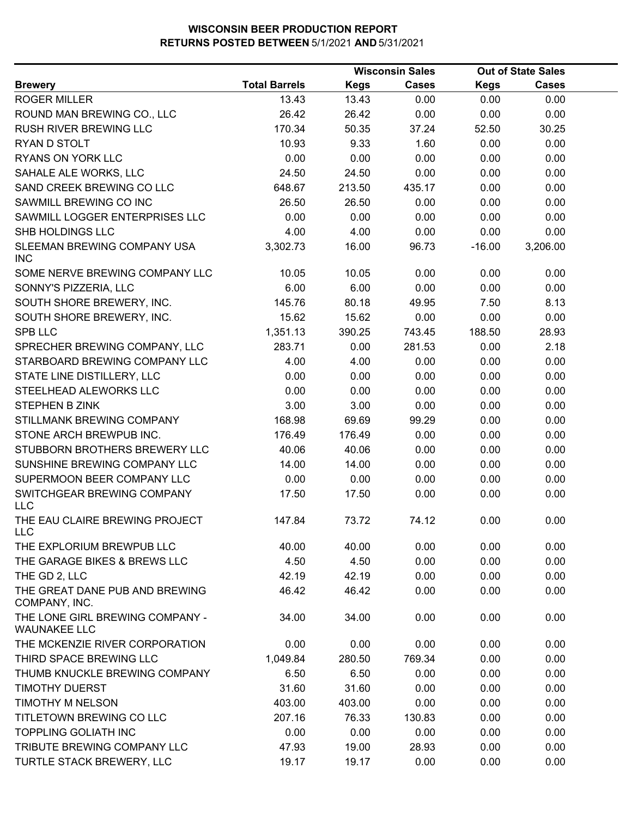|                                                        |                      |             | <b>Wisconsin Sales</b> |             | <b>Out of State Sales</b> |  |
|--------------------------------------------------------|----------------------|-------------|------------------------|-------------|---------------------------|--|
| <b>Brewery</b>                                         | <b>Total Barrels</b> | <b>Kegs</b> | <b>Cases</b>           | <b>Kegs</b> | <b>Cases</b>              |  |
| <b>ROGER MILLER</b>                                    | 13.43                | 13.43       | 0.00                   | 0.00        | 0.00                      |  |
| ROUND MAN BREWING CO., LLC                             | 26.42                | 26.42       | 0.00                   | 0.00        | 0.00                      |  |
| RUSH RIVER BREWING LLC                                 | 170.34               | 50.35       | 37.24                  | 52.50       | 30.25                     |  |
| RYAN D STOLT                                           | 10.93                | 9.33        | 1.60                   | 0.00        | 0.00                      |  |
| RYANS ON YORK LLC                                      | 0.00                 | 0.00        | 0.00                   | 0.00        | 0.00                      |  |
| SAHALE ALE WORKS, LLC                                  | 24.50                | 24.50       | 0.00                   | 0.00        | 0.00                      |  |
| SAND CREEK BREWING CO LLC                              | 648.67               | 213.50      | 435.17                 | 0.00        | 0.00                      |  |
| SAWMILL BREWING CO INC                                 | 26.50                | 26.50       | 0.00                   | 0.00        | 0.00                      |  |
| SAWMILL LOGGER ENTERPRISES LLC                         | 0.00                 | 0.00        | 0.00                   | 0.00        | 0.00                      |  |
| SHB HOLDINGS LLC                                       | 4.00                 | 4.00        | 0.00                   | 0.00        | 0.00                      |  |
| SLEEMAN BREWING COMPANY USA<br><b>INC</b>              | 3,302.73             | 16.00       | 96.73                  | $-16.00$    | 3,206.00                  |  |
| SOME NERVE BREWING COMPANY LLC                         | 10.05                | 10.05       | 0.00                   | 0.00        | 0.00                      |  |
| SONNY'S PIZZERIA, LLC                                  | 6.00                 | 6.00        | 0.00                   | 0.00        | 0.00                      |  |
| SOUTH SHORE BREWERY, INC.                              | 145.76               | 80.18       | 49.95                  | 7.50        | 8.13                      |  |
| SOUTH SHORE BREWERY, INC.                              | 15.62                | 15.62       | 0.00                   | 0.00        | 0.00                      |  |
| SPB LLC                                                | 1,351.13             | 390.25      | 743.45                 | 188.50      | 28.93                     |  |
| SPRECHER BREWING COMPANY, LLC                          | 283.71               | 0.00        | 281.53                 | 0.00        | 2.18                      |  |
| STARBOARD BREWING COMPANY LLC                          | 4.00                 | 4.00        | 0.00                   | 0.00        | 0.00                      |  |
| STATE LINE DISTILLERY, LLC                             | 0.00                 | 0.00        | 0.00                   | 0.00        | 0.00                      |  |
| STEELHEAD ALEWORKS LLC                                 | 0.00                 | 0.00        | 0.00                   | 0.00        | 0.00                      |  |
| <b>STEPHEN B ZINK</b>                                  | 3.00                 | 3.00        | 0.00                   | 0.00        | 0.00                      |  |
| STILLMANK BREWING COMPANY                              | 168.98               | 69.69       | 99.29                  | 0.00        | 0.00                      |  |
| STONE ARCH BREWPUB INC.                                | 176.49               | 176.49      | 0.00                   | 0.00        | 0.00                      |  |
| STUBBORN BROTHERS BREWERY LLC                          | 40.06                | 40.06       | 0.00                   | 0.00        | 0.00                      |  |
| SUNSHINE BREWING COMPANY LLC                           | 14.00                | 14.00       | 0.00                   | 0.00        | 0.00                      |  |
| SUPERMOON BEER COMPANY LLC                             | 0.00                 | 0.00        | 0.00                   | 0.00        | 0.00                      |  |
| SWITCHGEAR BREWING COMPANY<br><b>LLC</b>               | 17.50                | 17.50       | 0.00                   | 0.00        | 0.00                      |  |
| THE EAU CLAIRE BREWING PROJECT<br><b>LLC</b>           | 147.84               | 73.72       | 74.12                  | 0.00        | 0.00                      |  |
| THE EXPLORIUM BREWPUB LLC                              | 40.00                | 40.00       | 0.00                   | 0.00        | 0.00                      |  |
| THE GARAGE BIKES & BREWS LLC                           | 4.50                 | 4.50        | 0.00                   | 0.00        | 0.00                      |  |
| THE GD 2, LLC                                          | 42.19                | 42.19       | 0.00                   | 0.00        | 0.00                      |  |
| THE GREAT DANE PUB AND BREWING<br>COMPANY, INC.        | 46.42                | 46.42       | 0.00                   | 0.00        | 0.00                      |  |
| THE LONE GIRL BREWING COMPANY -<br><b>WAUNAKEE LLC</b> | 34.00                | 34.00       | 0.00                   | 0.00        | 0.00                      |  |
| THE MCKENZIE RIVER CORPORATION                         | 0.00                 | 0.00        | 0.00                   | 0.00        | 0.00                      |  |
| THIRD SPACE BREWING LLC                                | 1,049.84             | 280.50      | 769.34                 | 0.00        | 0.00                      |  |
| THUMB KNUCKLE BREWING COMPANY                          | 6.50                 | 6.50        | 0.00                   | 0.00        | 0.00                      |  |
| <b>TIMOTHY DUERST</b>                                  | 31.60                | 31.60       | 0.00                   | 0.00        | 0.00                      |  |
| <b>TIMOTHY M NELSON</b>                                | 403.00               | 403.00      | 0.00                   | 0.00        | 0.00                      |  |
| TITLETOWN BREWING CO LLC                               | 207.16               | 76.33       | 130.83                 | 0.00        | 0.00                      |  |
| <b>TOPPLING GOLIATH INC</b>                            | 0.00                 | 0.00        | 0.00                   | 0.00        | 0.00                      |  |
| TRIBUTE BREWING COMPANY LLC                            | 47.93                | 19.00       | 28.93                  | 0.00        | 0.00                      |  |
| TURTLE STACK BREWERY, LLC                              | 19.17                | 19.17       | 0.00                   | 0.00        | 0.00                      |  |